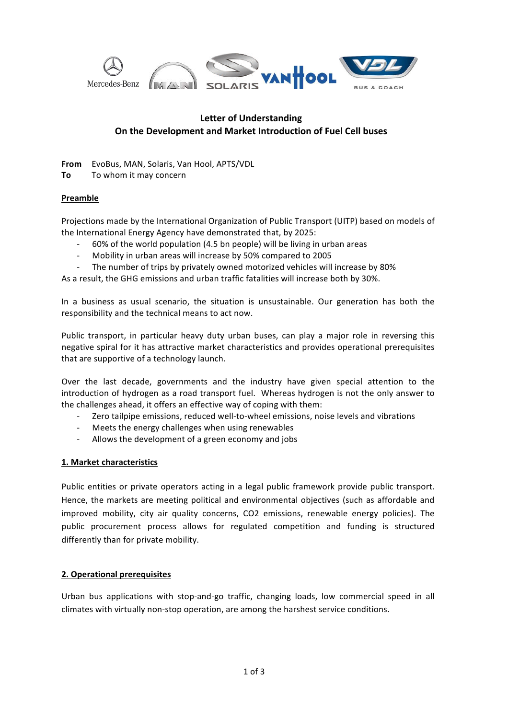

## **Letter of Understanding On the Development and Market Introduction of Fuel Cell buses**

From EvoBus, MAN, Solaris, Van Hool, APTS/VDL

**To** To whom it may concern

#### **Preamble**

Projections made by the International Organization of Public Transport (UITP) based on models of the International Energy Agency have demonstrated that, by 2025:

- 60% of the world population (4.5 bn people) will be living in urban areas
- Mobility in urban areas will increase by 50% compared to 2005
- The number of trips by privately owned motorized vehicles will increase by 80%

As a result, the GHG emissions and urban traffic fatalities will increase both by 30%.

In a business as usual scenario, the situation is unsustainable. Our generation has both the responsibility and the technical means to act now.

Public transport, in particular heavy duty urban buses, can play a major role in reversing this negative spiral for it has attractive market characteristics and provides operational prerequisites that are supportive of a technology launch.

Over the last decade, governments and the industry have given special attention to the introduction of hydrogen as a road transport fuel. Whereas hydrogen is not the only answer to the challenges ahead, it offers an effective way of coping with them:

- Zero tailpipe emissions, reduced well-to-wheel emissions, noise levels and vibrations
- Meets the energy challenges when using renewables
- Allows the development of a green economy and jobs

#### **1. Market characteristics**

Public entities or private operators acting in a legal public framework provide public transport. Hence, the markets are meeting political and environmental objectives (such as affordable and improved mobility, city air quality concerns, CO2 emissions, renewable energy policies). The public procurement process allows for regulated competition and funding is structured differently than for private mobility.

#### **2. Operational prerequisites**

Urban bus applications with stop-and-go traffic, changing loads, low commercial speed in all climates with virtually non-stop operation, are among the harshest service conditions.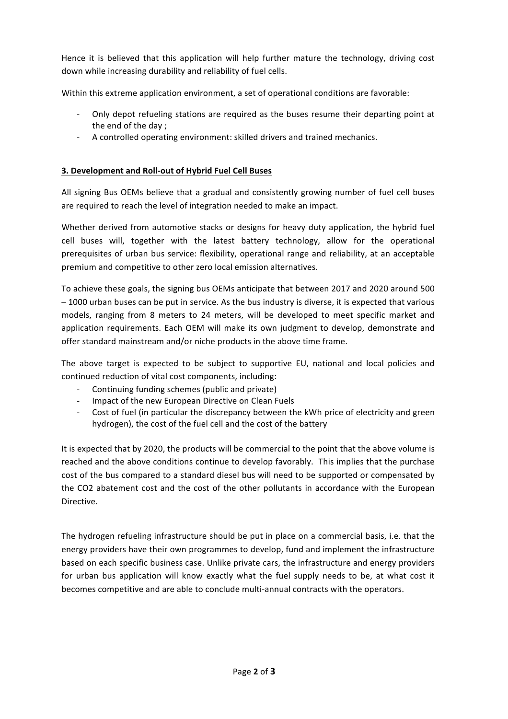Hence it is believed that this application will help further mature the technology, driving cost down while increasing durability and reliability of fuel cells.

Within this extreme application environment, a set of operational conditions are favorable:

- Only depot refueling stations are required as the buses resume their departing point at the end of the day;
- A controlled operating environment: skilled drivers and trained mechanics.

### **3. Development and Roll-out of Hybrid Fuel Cell Buses**

All signing Bus OEMs believe that a gradual and consistently growing number of fuel cell buses are required to reach the level of integration needed to make an impact.

Whether derived from automotive stacks or designs for heavy duty application, the hybrid fuel cell buses will, together with the latest battery technology, allow for the operational prerequisites of urban bus service: flexibility, operational range and reliability, at an acceptable premium and competitive to other zero local emission alternatives.

To achieve these goals, the signing bus OEMs anticipate that between 2017 and 2020 around 500  $-1000$  urban buses can be put in service. As the bus industry is diverse, it is expected that various models, ranging from 8 meters to 24 meters, will be developed to meet specific market and application requirements. Each OEM will make its own judgment to develop, demonstrate and offer standard mainstream and/or niche products in the above time frame.

The above target is expected to be subject to supportive EU, national and local policies and continued reduction of vital cost components, including:

- Continuing funding schemes (public and private)
- Impact of the new European Directive on Clean Fuels
- Cost of fuel (in particular the discrepancy between the kWh price of electricity and green hydrogen), the cost of the fuel cell and the cost of the battery

It is expected that by 2020, the products will be commercial to the point that the above volume is reached and the above conditions continue to develop favorably. This implies that the purchase cost of the bus compared to a standard diesel bus will need to be supported or compensated by the CO2 abatement cost and the cost of the other pollutants in accordance with the European Directive. 

The hydrogen refueling infrastructure should be put in place on a commercial basis, i.e. that the energy providers have their own programmes to develop, fund and implement the infrastructure based on each specific business case. Unlike private cars, the infrastructure and energy providers for urban bus application will know exactly what the fuel supply needs to be, at what cost it becomes competitive and are able to conclude multi-annual contracts with the operators.